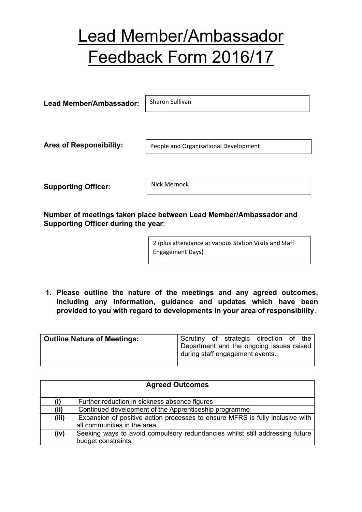## Lead Member/Ambassador Feedback Form 2016/17

**Lead Member/Ambassador:** Sharon Sullivan

**Area of Responsibility:**

People and Organisational Development

**Supporting Officer**:

Nick Mernock

**Number of meetings taken place between Lead Member/Ambassador and Supporting Officer during the year**:

> 2 (plus attendance at various Station Visits and Staff Engagement Days)

**1. Please outline the nature of the meetings and any agreed outcomes, including any information, guidance and updates which have been provided to you with regard to developments in your area of responsibility**.

| <b>Outline Nature of Meetings:</b> |  |                                 | Scrutiny of strategic direction of the   |  |
|------------------------------------|--|---------------------------------|------------------------------------------|--|
|                                    |  | during staff engagement events. | Department and the ongoing issues raised |  |

| <b>Agreed Outcomes</b> |                                                                               |  |  |  |
|------------------------|-------------------------------------------------------------------------------|--|--|--|
| (i)                    | Further reduction in sickness absence figures                                 |  |  |  |
| (ii)                   | Continued development of the Apprenticeship programme                         |  |  |  |
| (iii)                  | Expansion of positive action processes to ensure MFRS is fully inclusive with |  |  |  |
|                        | all communities in the area                                                   |  |  |  |
| (iv)                   | Seeking ways to avoid compulsory redundancies whilst still addressing future  |  |  |  |
|                        | budget constraints                                                            |  |  |  |